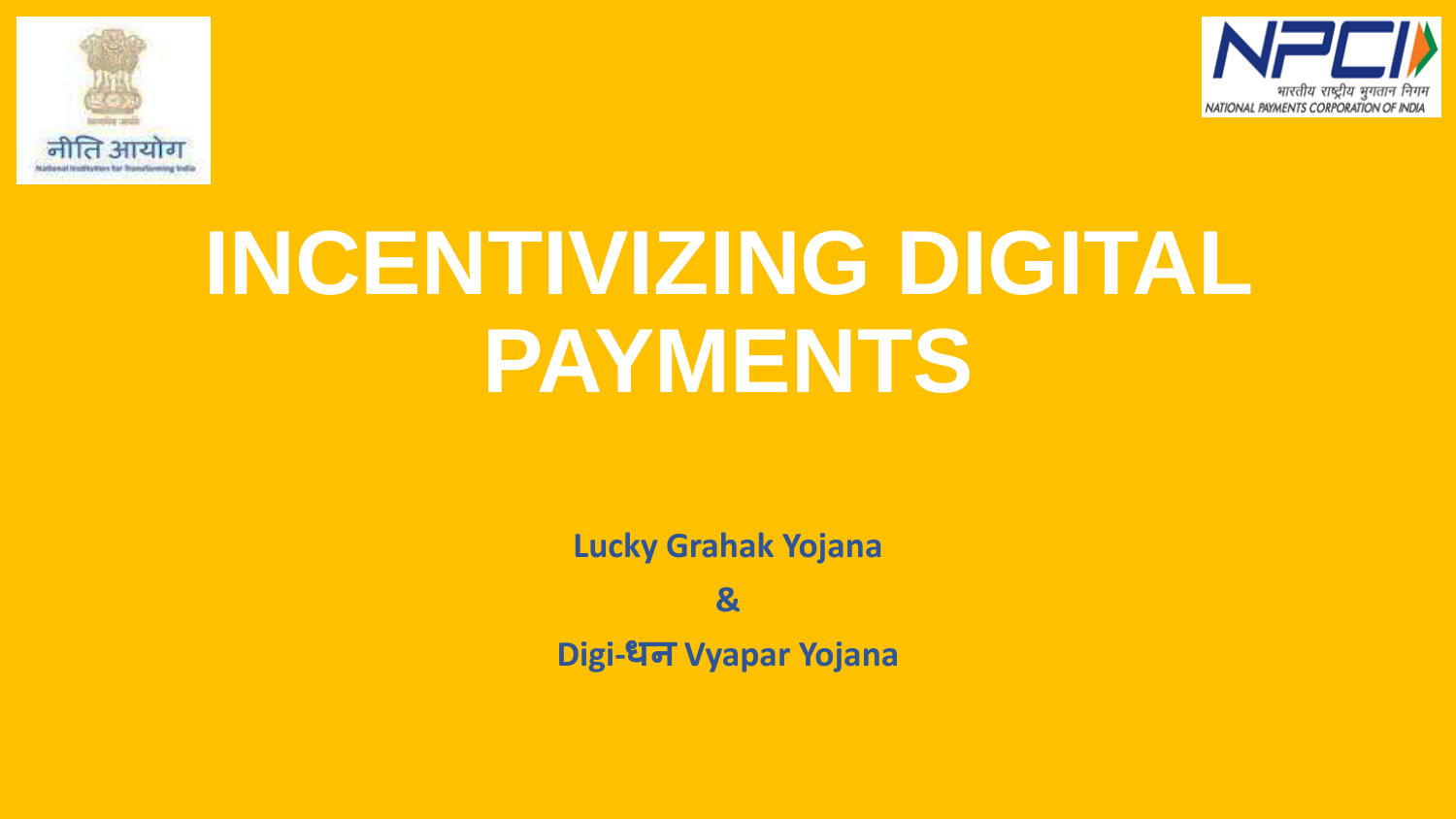



# **INCENTIVIZING DIGITAL PAYMENTS**

**Lucky Grahak Yojana**

**&**

**Digi-धन Vyapar Yojana**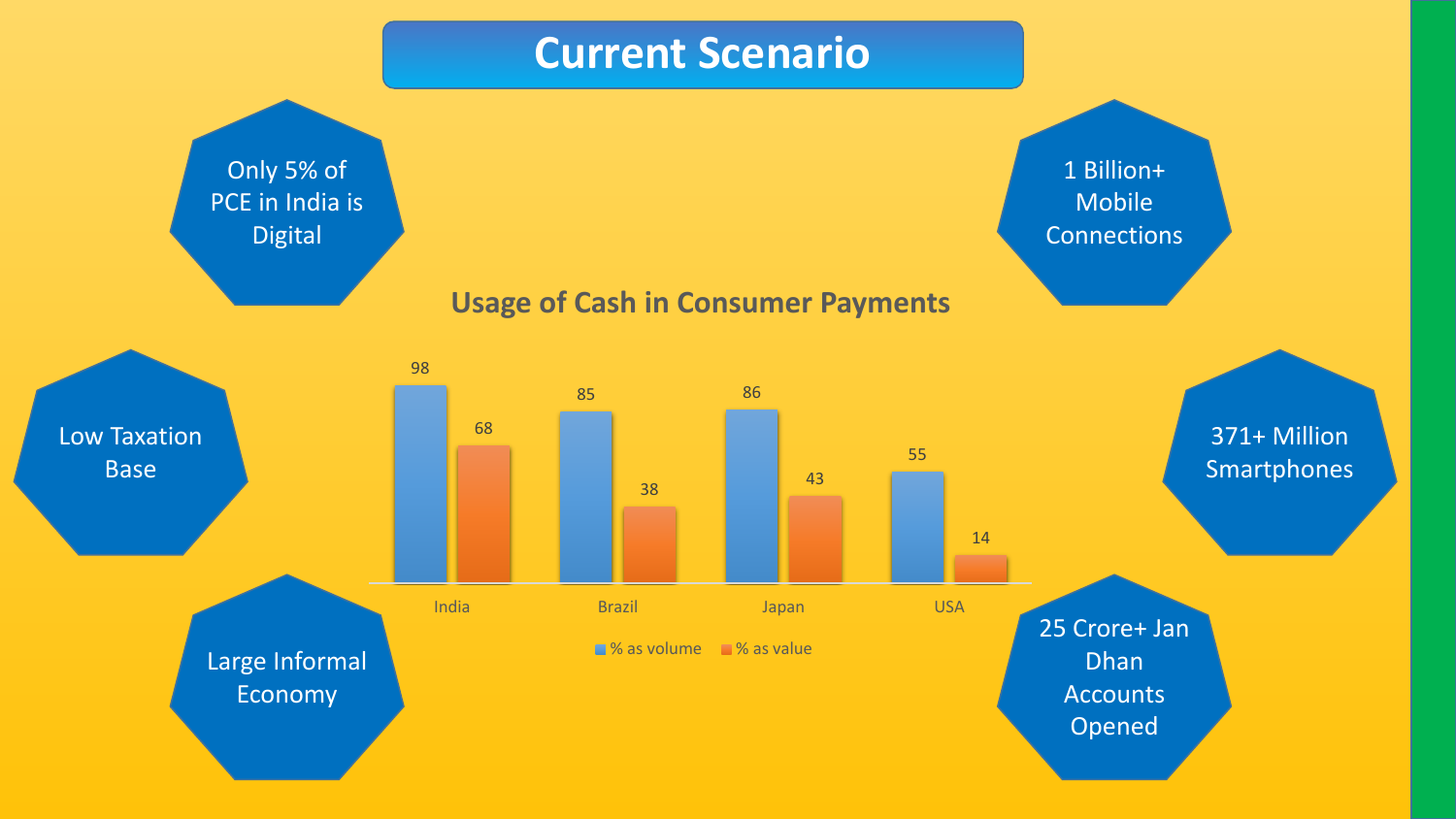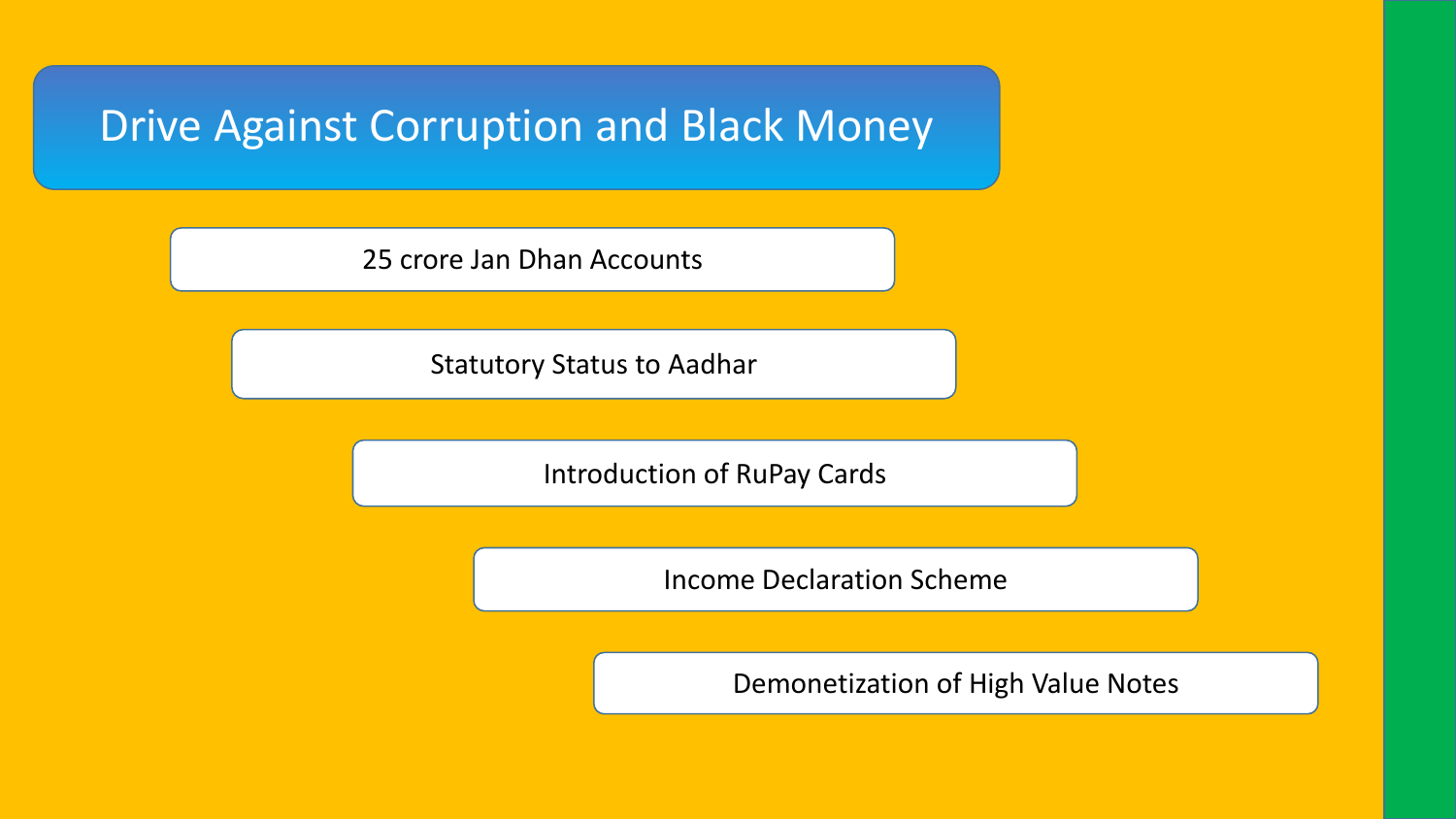### Drive Against Corruption and Black Money

25 crore Jan Dhan Accounts

Statutory Status to Aadhar

Introduction of RuPay Cards

Income Declaration Scheme

Demonetization of High Value Notes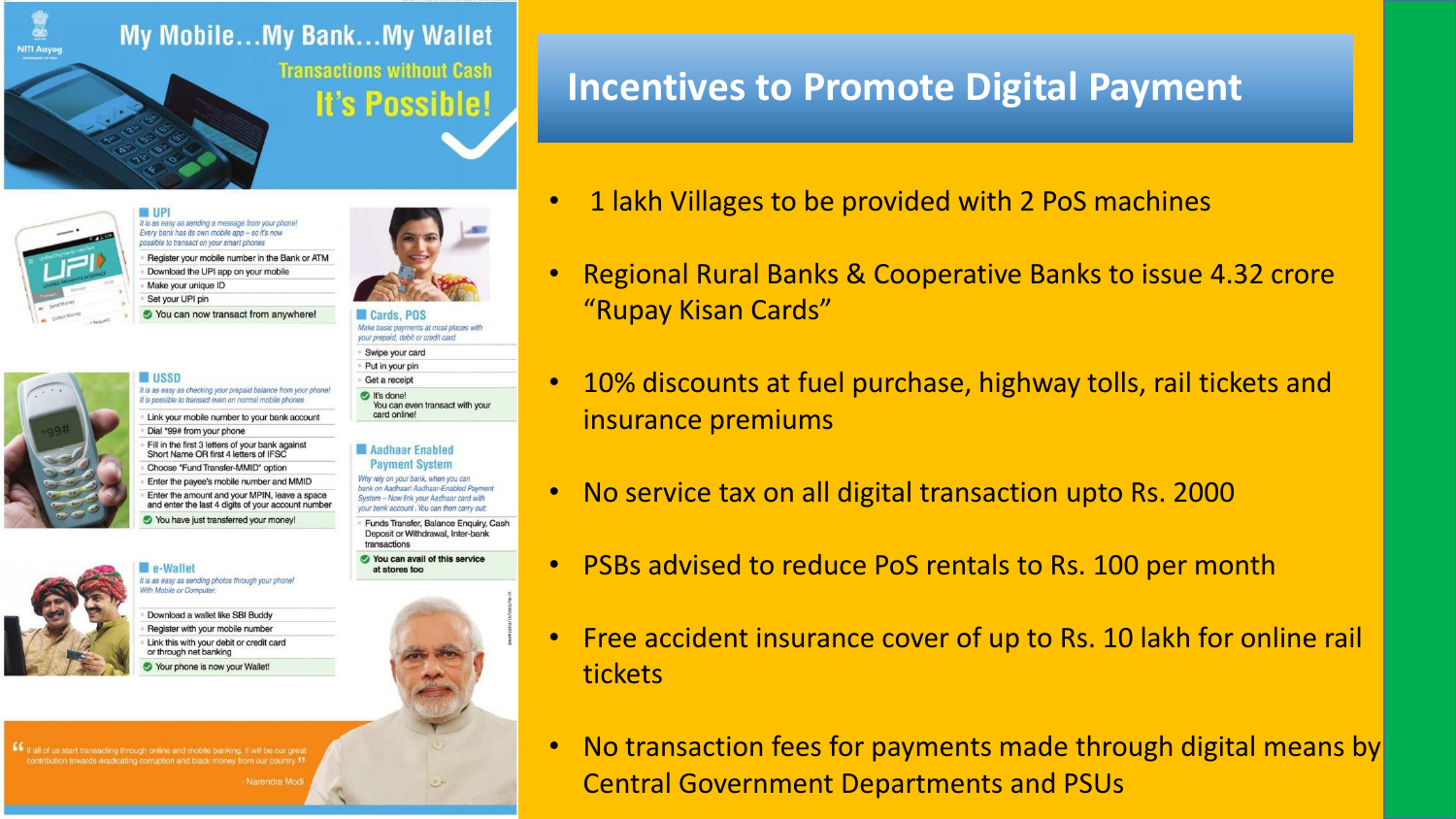

#### **Transactions without Cash It's Possible!**









It is as easy as sending a message from your phone! Every bank has its own mobile app - so it's now ssible to transact on your smart phones Register your mobile number in the Bank or ATM Download the UPI app on your mobile Make your unique ID

Set your UPI pin You can now transact from anywhere!

Enter the payee's mobile number and MMID

You have just transferred your money!

It is as easy as sending photos through your phone!

Download a wallet like SBI Buddy Register with your mobile number Link this with your debit or credit card or through net banking Your phone is now your Wallet

**Cards** POS Make basic payments at most places with your prepaid, debit or credit card Swipe your card Put in your pin Get a receipt t's done!

You can even transact with your card online!

#### Aadhaar Enabled **Payment System**

Why rely on your bank, when you can bank on Aadhaar! Aadhaar-Enabled Payment System - Now link your Aadhaar card with your bank account. You can then carry out

Funds Transfer, Balance Enquiry, Cash Deposit or Withdrawal, Inter-bank transactions

at stores too

You can avail of this service

#### **Incentives to Promote Digital Payment**

- 1 lakh Villages to be provided with 2 PoS machines
- Regional Rural Banks & Cooperative Banks to issue 4.32 crore "Rupay Kisan Cards"
- 10% discounts at fuel purchase, highway tolls, rail tickets and insurance premiums
	- No service tax on all digital transaction upto Rs. 2000
- PSBs advised to reduce PoS rentals to Rs. 100 per month
- Free accident insurance cover of up to Rs. 10 lakh for online rail tickets
- No transaction fees for payments made through digital means by Central Government Departments and PSUs

If It all of us start transacting through online and mobile banking, it will be our great

e-Wallet

Vith Mobile or Computer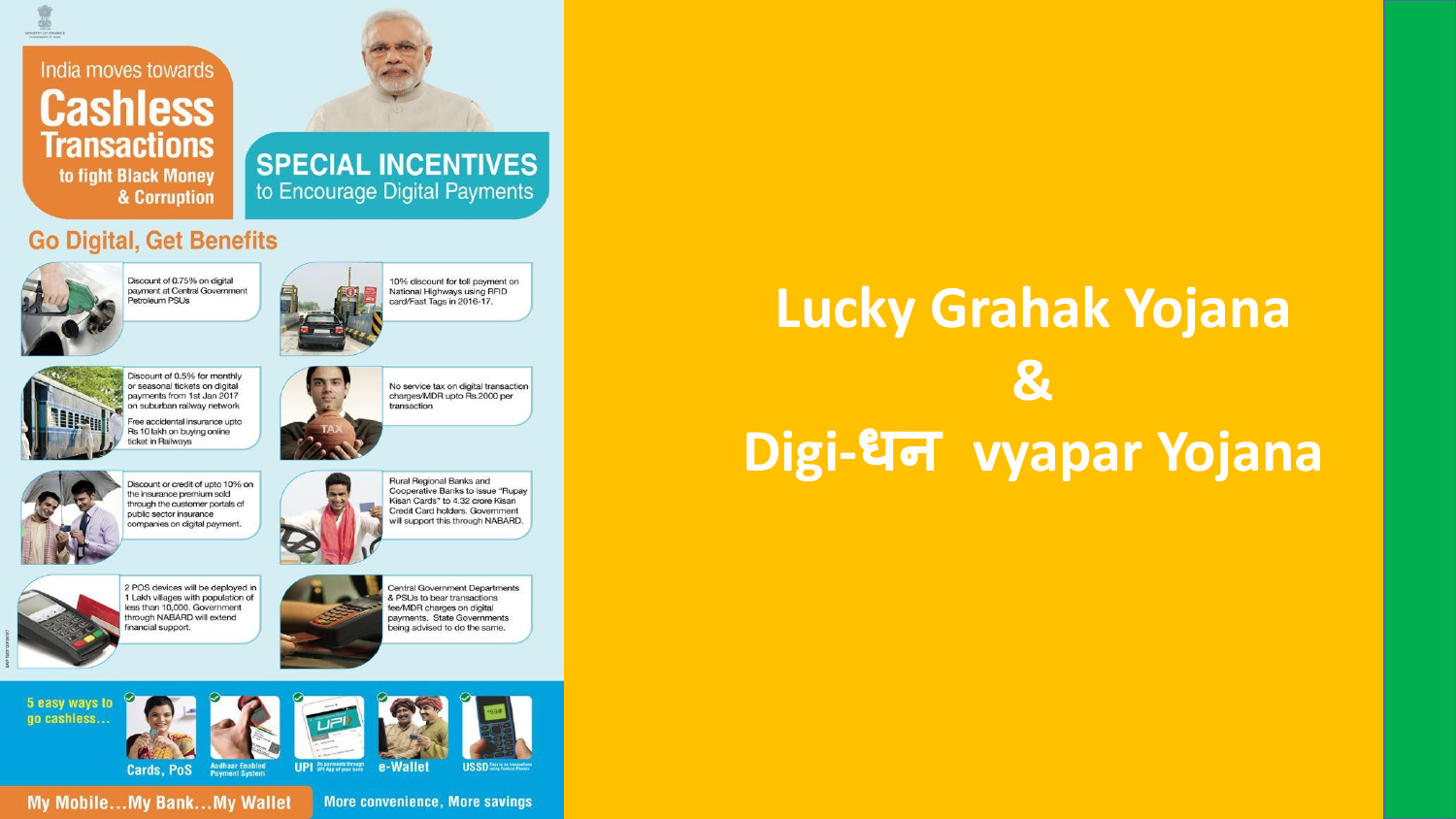#### India moves towards **Cashless Transactions** to fight Black Money & Corruption



#### **SPECIAL INCENTIVES** to Encourage Digital Payments

#### **Go Digital, Get Benefits**



## **Lucky Grahak Yojana & Digi-धन vyapar Yojana**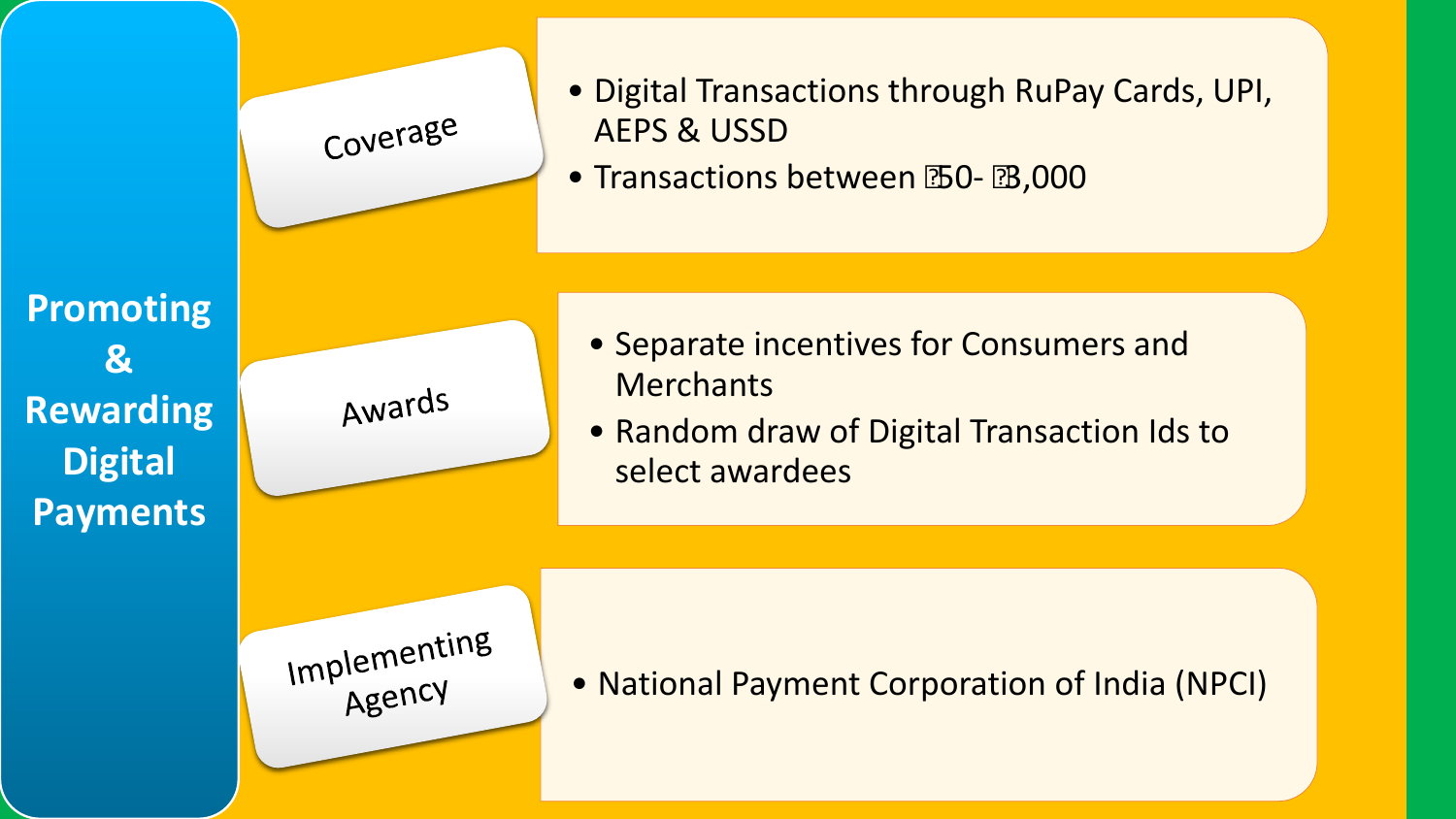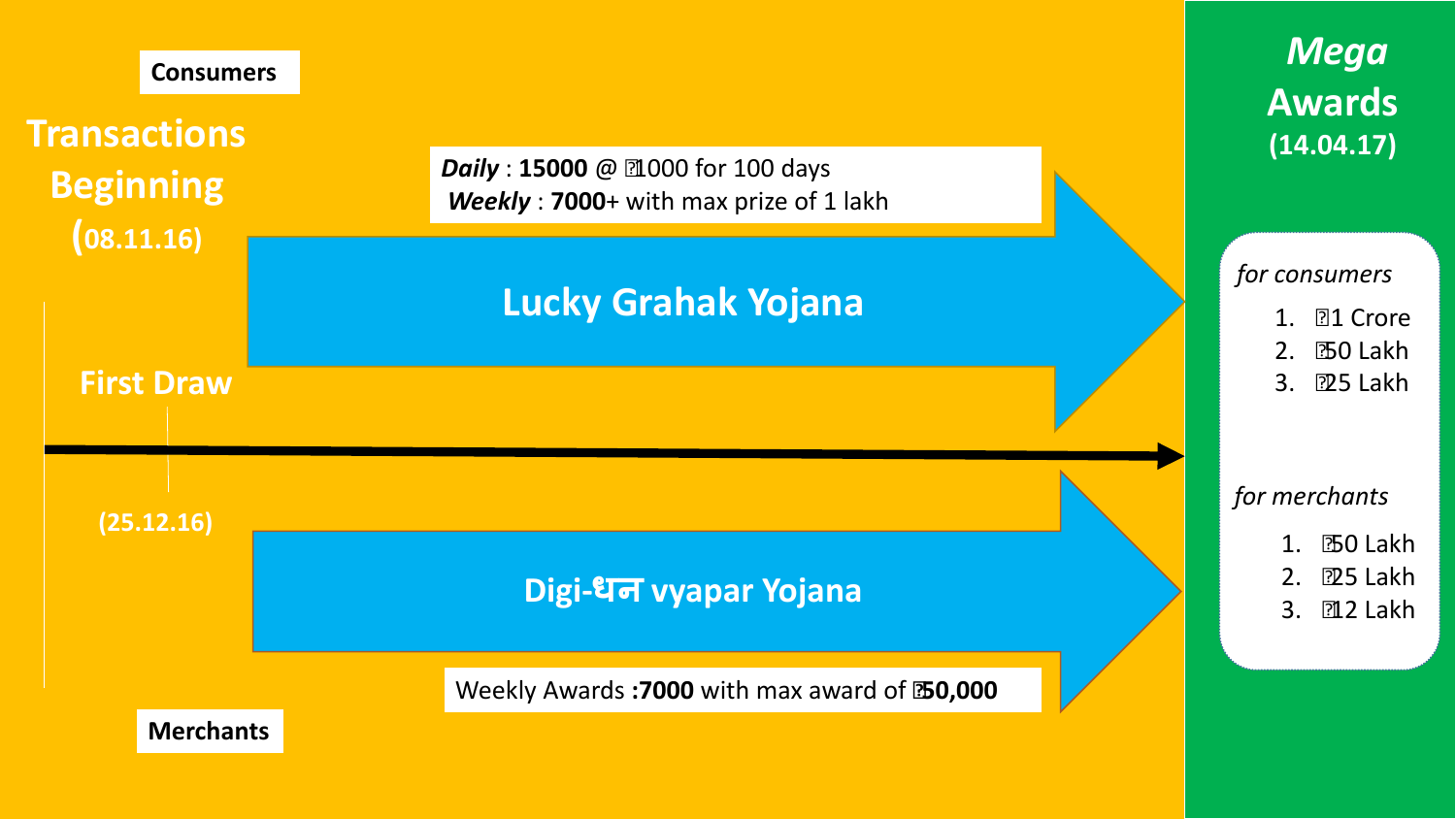